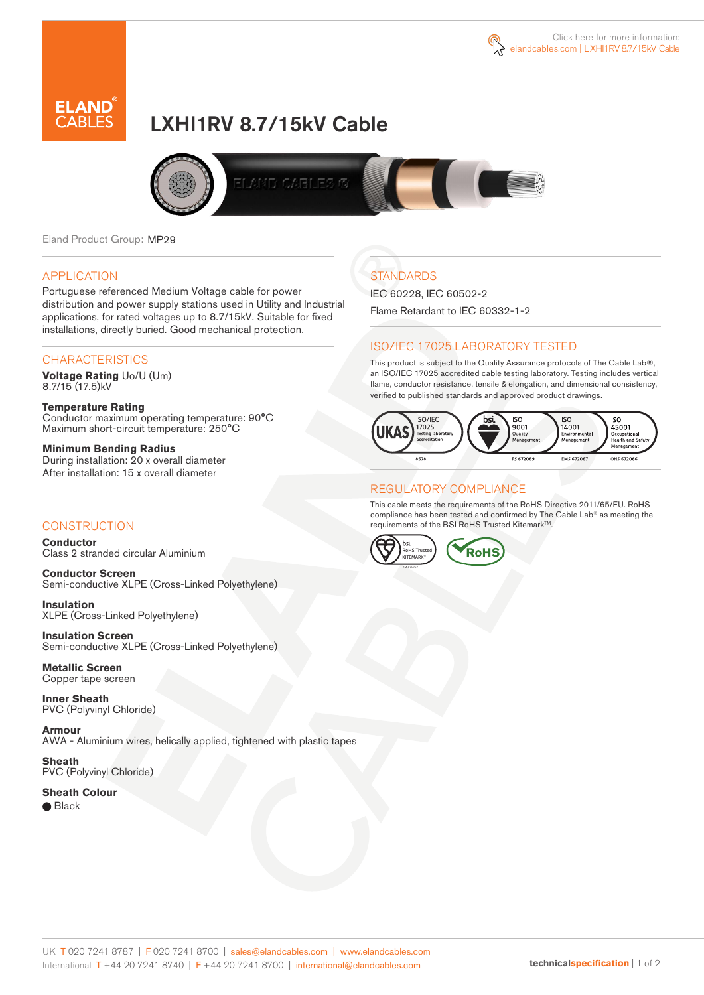



# LXHI1RV 8.7/15kV Cable



Eland Product Group: MP29

#### APPLICATION

Portuguese referenced Medium Voltage cable for power distribution and power supply stations used in Utility and Industrial applications, for rated voltages up to 8.7/15kV. Suitable for fixed installations, directly buried. Good mechanical protection.

### **CHARACTERISTICS**

**Voltage Rating** Uo/U (Um) 8.7/15 (17.5)kV

#### **Temperature Rating** Conductor maximum operating temperature: 90°C Maximum short-circuit temperature: 250°C

**Minimum Bending Radius** During installation: 20 x overall diameter After installation: 15 x overall diameter

### **CONSTRUCTION**

**Conductor**  Class 2 stranded circular Aluminium

**Conductor Screen** Semi-conductive XLPE (Cross-Linked Polyethylene)

**Insulation** XLPE (Cross-Linked Polyethylene)

**Insulation Screen** Semi-conductive XLPE (Cross-Linked Polyethylene)

**Metallic Screen**  Copper tape screen

**Inner Sheath** PVC (Polyvinyl Chloride)

**Armour** AWA - Aluminium wires, helically applied, tightened with plastic tapes

**Sheath** PVC (Polyvinyl Chloride)

**Sheath Colour**  ● Black

## **STANDARDS**

IEC 60228, IEC 60502-2 Flame Retardant to IEC 60332-1-2

### ISO/IEC 17025 LABORATORY TESTED

This product is subject to the Quality Assurance protocols of The Cable Lab®, an ISO/IEC 17025 accredited cable testing laboratory. Testing includes vertical flame, conductor resistance, tensile & elongation, and dimensional consistency, verified to published standards and approved product drawings.



#### REGULATORY COMPLIANCE

This cable meets the requirements of the RoHS Directive 2011/65/EU. RoHS compliance has been tested and confirmed by The Cable Lab® as meeting the requirements of the BSI RoHS Trusted Kitemark™.